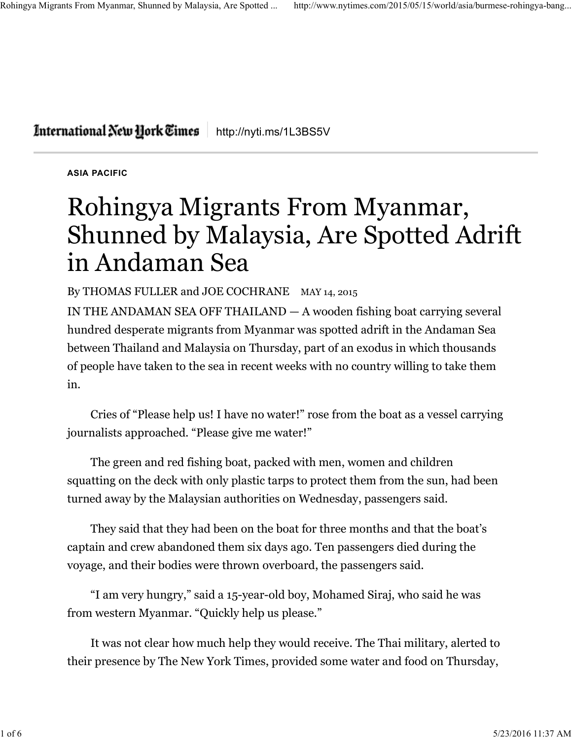## International New Hork Times

http://nyti.ms/1L3BS5V

ASIA PACIFIC

## Rohingya Migrants From Myanmar, Shunned by Malaysia, Are Spotted Adrift in Andaman Sea

By THOMAS FULLER and JOE COCHRANE MAY 14, 2015

IN THE ANDAMAN SEA OFF THAILAND — A wooden fishing boat carrying several hundred desperate migrants from Myanmar was spotted adrift in the Andaman Sea between Thailand and Malaysia on Thursday, part of an exodus in which thousands of people have taken to the sea in recent weeks with no country willing to take them in.

Cries of "Please help us! I have no water!" rose from the boat as a vessel carrying journalists approached. "Please give me water!"

The green and red fishing boat, packed with men, women and children squatting on the deck with only plastic tarps to protect them from the sun, had been turned away by the Malaysian authorities on Wednesday, passengers said.

They said that they had been on the boat for three months and that the boat's captain and crew abandoned them six days ago. Ten passengers died during the voyage, and their bodies were thrown overboard, the passengers said. turned away by the Malaysian authorities on Wednesday, passengers said.<br>
They said that they had been on the boat for three months and that the boat's<br>
captain and crew abandoned them six days ago. Ten passengers died duri

"I am very hungry," said a 15-year-old boy, Mohamed Siraj, who said he was from western Myanmar. "Quickly help us please."

It was not clear how much help they would receive. The Thai military, alerted to their presence by The New York Times, provided some water and food on Thursday,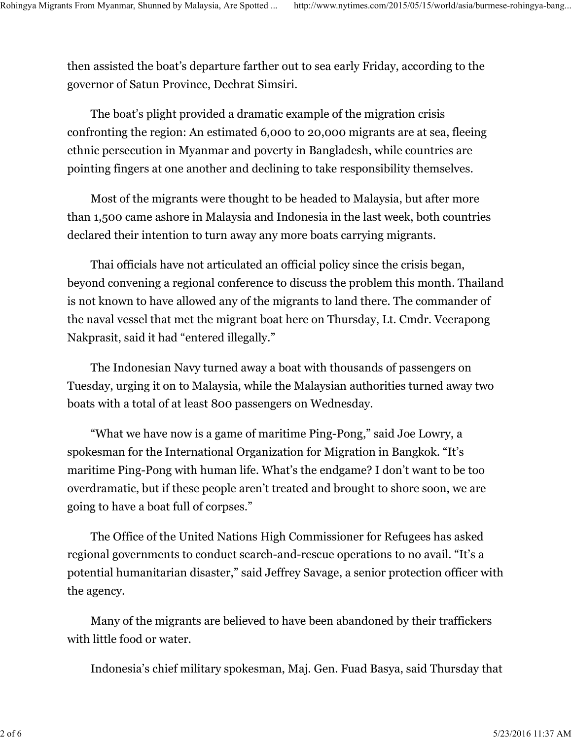then assisted the boat's departure farther out to sea early Friday, according to the governor of Satun Province, Dechrat Simsiri. Rohingya Migrants From Myanmar, Shunned by Malaysia, Are Spotted ... http://www.nytimes.com/2015/05/15/world/asia/burmese-rohingya-bang...<br>then assisted the boat's departure farther out to sea early Friday, according to th

> The boat's plight provided a dramatic example of the migration crisis confronting the region: An estimated 6,000 to 20,000 migrants are at sea, fleeing ethnic persecution in Myanmar and poverty in Bangladesh, while countries are pointing fingers at one another and declining to take responsibility themselves.

> Most of the migrants were thought to be headed to Malaysia, but after more than 1,500 came ashore in Malaysia and Indonesia in the last week, both countries declared their intention to turn away any more boats carrying migrants.

Thai officials have not articulated an official policy since the crisis began, beyond convening a regional conference to discuss the problem this month. Thailand is not known to have allowed any of the migrants to land there. The commander of the naval vessel that met the migrant boat here on Thursday, Lt. Cmdr. Veerapong Nakprasit, said it had "entered illegally."

The Indonesian Navy turned away a boat with thousands of passengers on Tuesday, urging it on to Malaysia, while the Malaysian authorities turned away two boats with a total of at least 800 passengers on Wednesday.

"What we have now is a game of maritime Ping-Pong," said Joe Lowry, a spokesman for the International Organization for Migration in Bangkok. "It's maritime Ping-Pong with human life. What's the endgame? I don't want to be too overdramatic, but if these people aren't treated and brought to shore soon, we are going to have a boat full of corpses."

The Office of the United Nations High Commissioner for Refugees has asked regional governments to conduct search-and-rescue operations to no avail. "It's a potential humanitarian disaster," said Jeffrey Savage, a senior protection officer with the agency. 2 or 6 fluid to have a boat full of corpses."<br>
The Office of the United Nations High Commissioner for Refugees has asked<br>
regional governments to conduct search-and-rescue operations to no avail. "It's a<br>
potential humanit

Many of the migrants are believed to have been abandoned by their traffickers with little food or water.

Indonesia's chief military spokesman, Maj. Gen. Fuad Basya, said Thursday that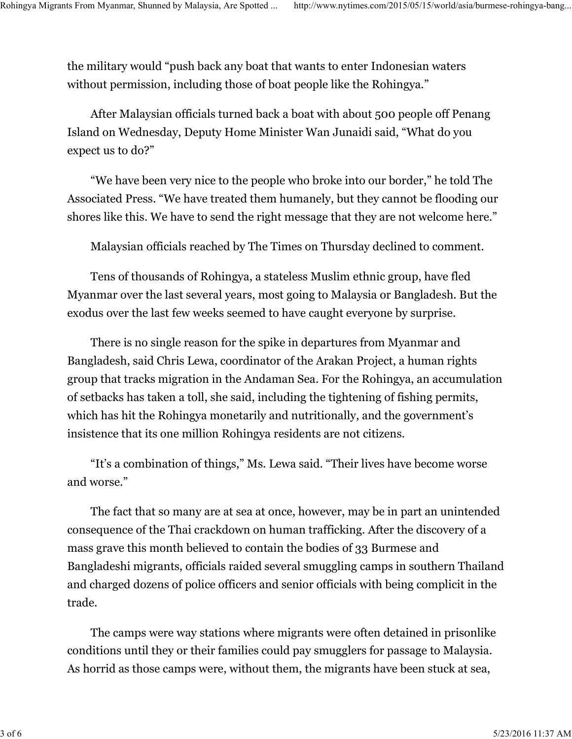the military would "push back any boat that wants to enter Indonesian waters without permission, including those of boat people like the Rohingya." Rohingya Migrants From Myanmar, Shunned by Malaysia, Are Spotted ... http://www.nytimes.com/2015/05/15/world/asia/burmese-rohingya-bang...<br>the military would "push back any boat that wants to enter Indonesian waters"

> After Malaysian officials turned back a boat with about 500 people off Penang Island on Wednesday, Deputy Home Minister Wan Junaidi said, "What do you expect us to do?"

"We have been very nice to the people who broke into our border," he told The Associated Press. "We have treated them humanely, but they cannot be flooding our shores like this. We have to send the right message that they are not welcome here."

Malaysian officials reached by The Times on Thursday declined to comment.

Tens of thousands of Rohingya, a stateless Muslim ethnic group, have fled Myanmar over the last several years, most going to Malaysia or Bangladesh. But the exodus over the last few weeks seemed to have caught everyone by surprise.

There is no single reason for the spike in departures from Myanmar and Bangladesh, said Chris Lewa, coordinator of the Arakan Project, a human rights group that tracks migration in the Andaman Sea. For the Rohingya, an accumulation of setbacks has taken a toll, she said, including the tightening of fishing permits, which has hit the Rohingya monetarily and nutritionally, and the government's insistence that its one million Rohingya residents are not citizens.

"It's a combination of things," Ms. Lewa said. "Their lives have become worse and worse."

The fact that so many are at sea at once, however, may be in part an unintended consequence of the Thai crackdown on human trafficking. After the discovery of a mass grave this month believed to contain the bodies of 33 Burmese and Bangladeshi migrants, officials raided several smuggling camps in southern Thailand and charged dozens of police officers and senior officials with being complicit in the trade. The fact that so many are at sea at once, however, may be in part an unintended<br>consequence of the Thai crackdown on human trafficking. After the discovery of a<br>mass grave this month believed to contain the bodies of 33 Bu

The camps were way stations where migrants were often detained in prisonlike conditions until they or their families could pay smugglers for passage to Malaysia. As horrid as those camps were, without them, the migrants have been stuck at sea,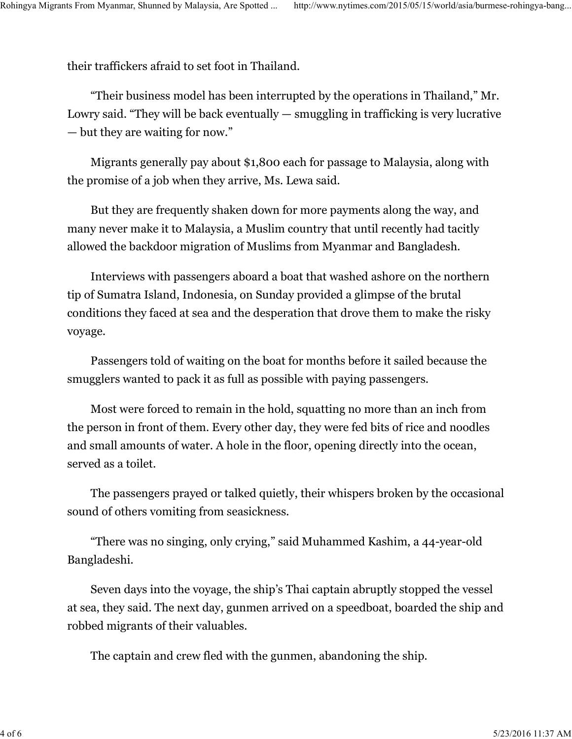their traffickers afraid to set foot in Thailand.

"Their business model has been interrupted by the operations in Thailand," Mr. Lowry said. "They will be back eventually  $-$  smuggling in trafficking is very lucrative — but they are waiting for now."

Migrants generally pay about \$1,800 each for passage to Malaysia, along with the promise of a job when they arrive, Ms. Lewa said.

But they are frequently shaken down for more payments along the way, and many never make it to Malaysia, a Muslim country that until recently had tacitly allowed the backdoor migration of Muslims from Myanmar and Bangladesh.

Interviews with passengers aboard a boat that washed ashore on the northern tip of Sumatra Island, Indonesia, on Sunday provided a glimpse of the brutal conditions they faced at sea and the desperation that drove them to make the risky voyage.

Passengers told of waiting on the boat for months before it sailed because the smugglers wanted to pack it as full as possible with paying passengers.

Most were forced to remain in the hold, squatting no more than an inch from the person in front of them. Every other day, they were fed bits of rice and noodles and small amounts of water. A hole in the floor, opening directly into the ocean, served as a toilet.

The passengers prayed or talked quietly, their whispers broken by the occasional sound of others vomiting from seasickness.

"There was no singing, only crying," said Muhammed Kashim, a 44-year-old Bangladeshi.

Seven days into the voyage, the ship's Thai captain abruptly stopped the vessel at sea, they said. The next day, gunmen arrived on a speedboat, boarded the ship and robbed migrants of their valuables. The passengers prayed or talked quetly, their whispers broken by the occasional<br>sound of others vomiting from seasickness.<br>"There was no singing, only crying," said Muhammed Kashim, a 44-year-old<br>Bangladeshi.<br>Seven days in

The captain and crew fled with the gunmen, abandoning the ship.